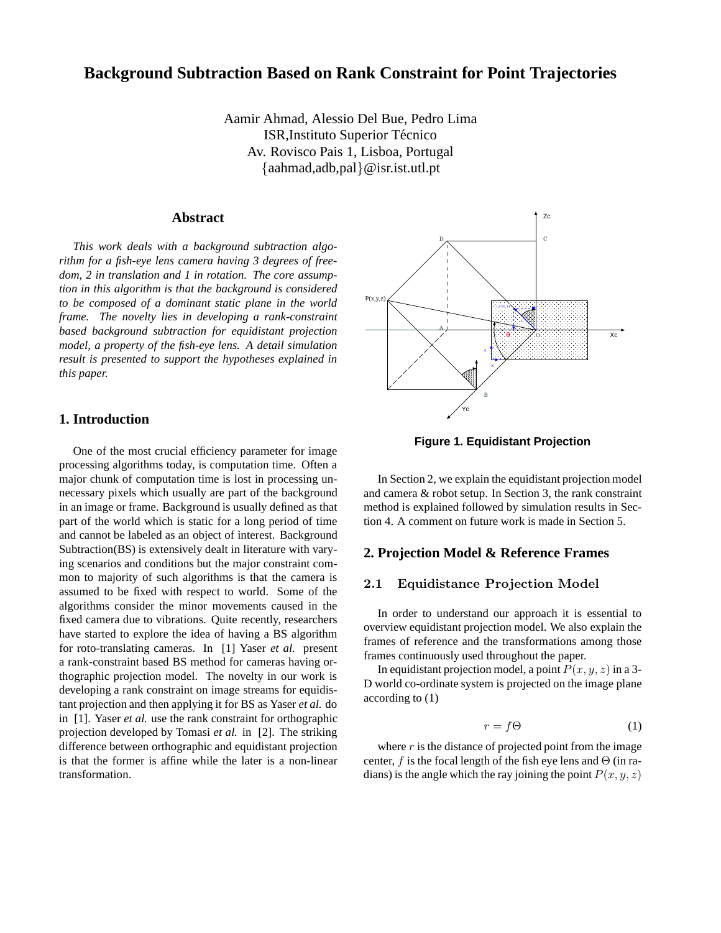# **Background Subtraction Based on Rank Constraint for Point Trajectories**

Aamir Ahmad, Alessio Del Bue, Pedro Lima ISR, Instituto Superior Técnico Av. Rovisco Pais 1, Lisboa, Portugal {aahmad,adb,pal}@isr.ist.utl.pt

#### **Abstract**

*This work deals with a background subtraction algorithm for a fish-eye lens camera having 3 degrees of freedom, 2 in translation and 1 in rotation. The core assumption in this algorithm is that the background is considered to be composed of a dominant static plane in the world frame. The novelty lies in developing a rank-constraint based background subtraction for equidistant projection model, a property of the fish-eye lens. A detail simulation result is presented to support the hypotheses explained in this paper.*

## **1. Introduction**

One of the most crucial efficiency parameter for image processing algorithms today, is computation time. Often a major chunk of computation time is lost in processing unnecessary pixels which usually are part of the background in an image or frame. Background is usually defined as that part of the world which is static for a long period of time and cannot be labeled as an object of interest. Background Subtraction(BS) is extensively dealt in literature with varying scenarios and conditions but the major constraint common to majority of such algorithms is that the camera is assumed to be fixed with respect to world. Some of the algorithms consider the minor movements caused in the fixed camera due to vibrations. Quite recently, researchers have started to explore the idea of having a BS algorithm for roto-translating cameras. In [1] Yaser *et al.* present a rank-constraint based BS method for cameras having orthographic projection model. The novelty in our work is developing a rank constraint on image streams for equidistant projection and then applying it for BS as Yaser *et al.* do in [1]. Yaser *et al.* use the rank constraint for orthographic projection developed by Tomasi *et al.* in [2]. The striking difference between orthographic and equidistant projection is that the former is affine while the later is a non-linear transformation.



**Figure 1. Equidistant Projection**

In Section 2, we explain the equidistant projection model and camera & robot setup. In Section 3, the rank constraint method is explained followed by simulation results in Section 4. A comment on future work is made in Section 5.

# **2. Projection Model & Reference Frames**

## 2.1 Equidistance Projection Model

In order to understand our approach it is essential to overview equidistant projection model. We also explain the frames of reference and the transformations among those frames continuously used throughout the paper.

In equidistant projection model, a point  $P(x, y, z)$  in a 3-D world co-ordinate system is projected on the image plane according to (1)

$$
r = f\Theta \tag{1}
$$

where  $r$  is the distance of projected point from the image center, f is the focal length of the fish eye lens and  $\Theta$  (in radians) is the angle which the ray joining the point  $P(x, y, z)$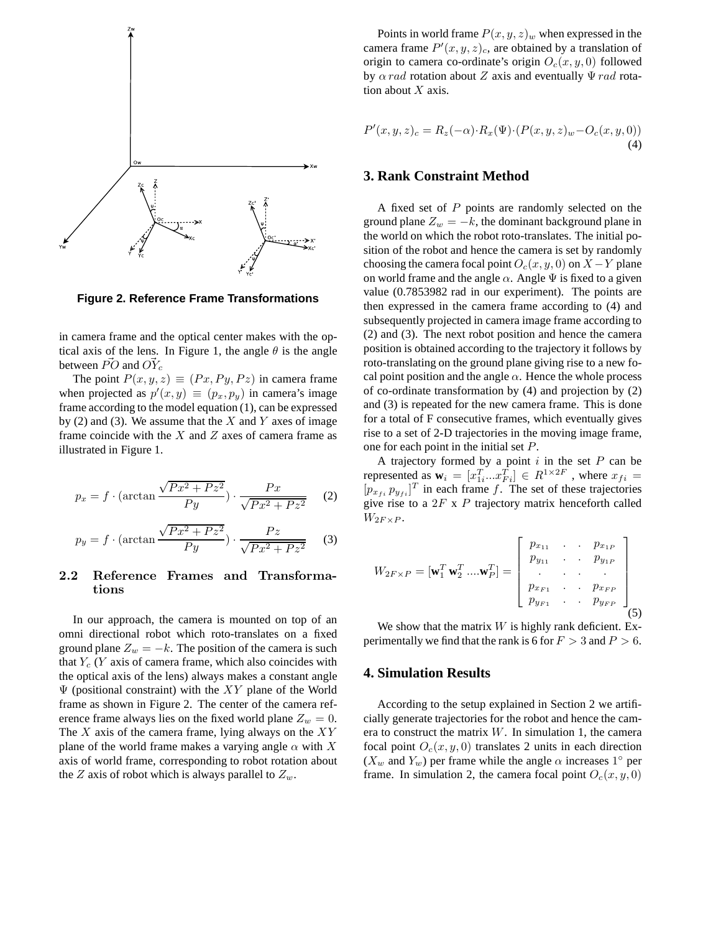

**Figure 2. Reference Frame Transformations**

in camera frame and the optical center makes with the optical axis of the lens. In Figure 1, the angle  $\theta$  is the angle between  $\vec{PO}$  and  $\vec{OY}_c$ 

The point  $P(x, y, z) \equiv (Px, Py, Pz)$  in camera frame when projected as  $p'(x, y) \equiv (p_x, p_y)$  in camera's image frame according to the model equation (1), can be expressed by (2) and (3). We assume that the  $X$  and  $Y$  axes of image frame coincide with the  $X$  and  $Z$  axes of camera frame as illustrated in Figure 1.

$$
p_x = f \cdot (\arctan \frac{\sqrt{Px^2 + Pz^2}}{Py}) \cdot \frac{Px}{\sqrt{Px^2 + Pz^2}} \tag{2}
$$

$$
p_y = f \cdot (\arctan \frac{\sqrt{Px^2 + Pz^2}}{Py}) \cdot \frac{Pz}{\sqrt{Px^2 + Pz^2}} \tag{3}
$$

## 2.2 Reference Frames and Transformations

In our approach, the camera is mounted on top of an omni directional robot which roto-translates on a fixed ground plane  $Z_w = -k$ . The position of the camera is such that  $Y_c$  (Y axis of camera frame, which also coincides with the optical axis of the lens) always makes a constant angle  $\Psi$  (positional constraint) with the XY plane of the World frame as shown in Figure 2. The center of the camera reference frame always lies on the fixed world plane  $Z_w = 0$ . The  $X$  axis of the camera frame, lying always on the  $XY$ plane of the world frame makes a varying angle  $\alpha$  with X axis of world frame, corresponding to robot rotation about the Z axis of robot which is always parallel to  $Z_w$ .

Points in world frame  $P(x, y, z)$ <sub>w</sub> when expressed in the camera frame  $P'(x, y, z)_c$ , are obtained by a translation of origin to camera co-ordinate's origin  $O_c(x, y, 0)$  followed by  $\alpha$  rad rotation about Z axis and eventually  $\Psi$  rad rotation about  $X$  axis.

$$
P'(x,y,z)_c = R_z(-\alpha) \cdot R_x(\Psi) \cdot (P(x,y,z)_w - O_c(x,y,0))
$$
  
(4)

#### **3. Rank Constraint Method**

A fixed set of P points are randomly selected on the ground plane  $Z_w = -k$ , the dominant background plane in the world on which the robot roto-translates. The initial position of the robot and hence the camera is set by randomly choosing the camera focal point  $O_c(x, y, 0)$  on  $X - Y$  plane on world frame and the angle  $\alpha$ . Angle  $\Psi$  is fixed to a given value (0.7853982 rad in our experiment). The points are then expressed in the camera frame according to (4) and subsequently projected in camera image frame according to (2) and (3). The next robot position and hence the camera position is obtained according to the trajectory it follows by roto-translating on the ground plane giving rise to a new focal point position and the angle  $\alpha$ . Hence the whole process of co-ordinate transformation by (4) and projection by (2) and (3) is repeated for the new camera frame. This is done for a total of F consecutive frames, which eventually gives rise to a set of 2-D trajectories in the moving image frame, one for each point in the initial set P.

A trajectory formed by a point  $i$  in the set  $P$  can be represented as  $\mathbf{w}_i = [x_{1i}^T ... x_{Fi}^T] \in R^{1 \times 2F}$ , where  $x_{fi} =$  $[p_{x_{fi}} \, p_{y_{fi}}]^T$  in each frame f. The set of these trajectories give rise to a  $2F \times P$  trajectory matrix henceforth called  $W_{2F \times P}$ .

$$
W_{2F \times P} = [\mathbf{w}_{1}^{T} \mathbf{w}_{2}^{T} \dots \mathbf{w}_{P}^{T}] = \begin{bmatrix} p_{x_{11}} & \cdots & p_{x_{1P}} \\ p_{y_{11}} & \cdots & p_{y_{1P}} \\ \vdots & \vdots & \ddots & \vdots \\ p_{x_{F1}} & \cdots & p_{x_{FP}} \\ p_{y_{F1}} & \cdots & p_{y_{FP}} \end{bmatrix}
$$
(5)

We show that the matrix  $W$  is highly rank deficient. Experimentally we find that the rank is 6 for  $F > 3$  and  $P > 6$ .

# **4. Simulation Results**

According to the setup explained in Section 2 we artificially generate trajectories for the robot and hence the camera to construct the matrix  $W$ . In simulation 1, the camera focal point  $O_c(x, y, 0)$  translates 2 units in each direction  $(X_w$  and  $Y_w$ ) per frame while the angle  $\alpha$  increases 1° per frame. In simulation 2, the camera focal point  $O_c(x, y, 0)$